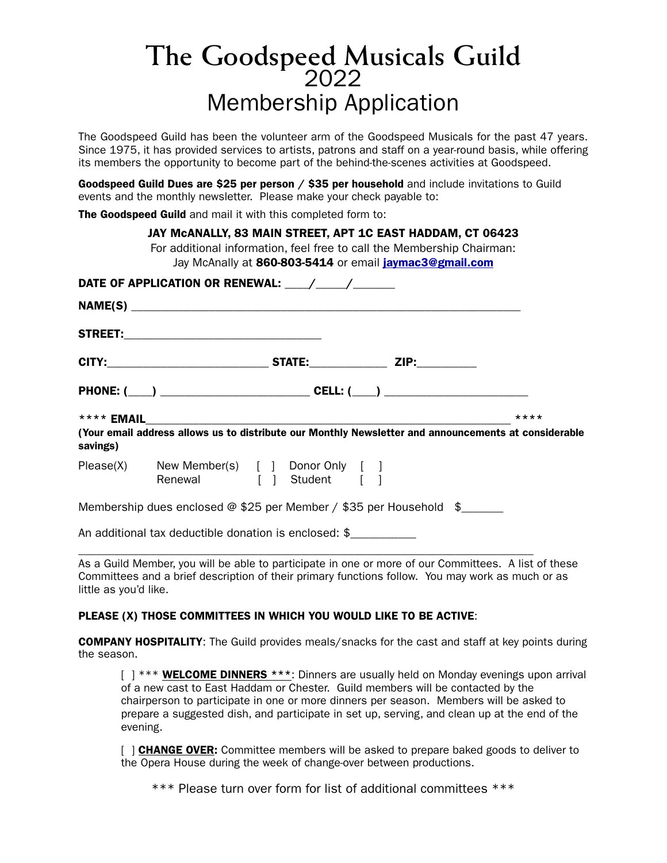## **The Goodspeed Musicals Guild** <sup>2022</sup> Membership Application

The Goodspeed Guild has been the volunteer arm of the Goodspeed Musicals for the past 47 years. Since 1975, it has provided services to artists, patrons and staff on a year-round basis, while offering its members the opportunity to become part of the behind-the-scenes activities at Goodspeed.

Goodspeed Guild Dues are \$25 per person / \$35 per household and include invitations to Guild events and the monthly newsletter. Please make your check payable to:

The Goodspeed Guild and mail it with this completed form to:

| JAY MCANALLY, 83 MAIN STREET, APT 1C EAST HADDAM, CT 06423<br>For additional information, feel free to call the Membership Chairman:<br>Jay McAnally at 860-803-5414 or email jaymac3@gmail.com |  |                                                                       |                                                                                                      |        |  |
|-------------------------------------------------------------------------------------------------------------------------------------------------------------------------------------------------|--|-----------------------------------------------------------------------|------------------------------------------------------------------------------------------------------|--------|--|
|                                                                                                                                                                                                 |  |                                                                       |                                                                                                      |        |  |
|                                                                                                                                                                                                 |  |                                                                       |                                                                                                      |        |  |
|                                                                                                                                                                                                 |  |                                                                       |                                                                                                      |        |  |
|                                                                                                                                                                                                 |  |                                                                       |                                                                                                      |        |  |
|                                                                                                                                                                                                 |  |                                                                       |                                                                                                      |        |  |
|                                                                                                                                                                                                 |  |                                                                       |                                                                                                      | $****$ |  |
|                                                                                                                                                                                                 |  |                                                                       | (Your email address allows us to distribute our Monthly Newsletter and announcements at considerable |        |  |
| savings)                                                                                                                                                                                        |  |                                                                       |                                                                                                      |        |  |
|                                                                                                                                                                                                 |  | Please(X) New Member(s) [ ] Donor Only [ ]<br>Renewal [ ] Student [ ] |                                                                                                      |        |  |
|                                                                                                                                                                                                 |  |                                                                       | Membership dues enclosed @ \$25 per Member / \$35 per Household $$$                                  |        |  |

\_\_\_\_\_\_\_\_\_\_\_\_\_\_\_\_\_\_\_\_\_\_\_\_\_\_\_\_\_\_\_\_\_\_\_\_\_\_\_\_\_\_\_\_\_\_\_\_\_\_\_\_\_\_\_\_\_\_\_\_\_\_\_\_\_\_\_\_\_\_\_\_\_\_\_\_ As a Guild Member, you will be able to participate in one or more of our Committees. A list of these Committees and a brief description of their primary functions follow. You may work as much or as little as you'd like.

## PLEASE (X) THOSE COMMITTEES IN WHICH YOU WOULD LIKE TO BE ACTIVE:

COMPANY HOSPITALITY: The Guild provides meals/snacks for the cast and staff at key points during the season.

 $[ ]$  \*\*\* WELCOME DINNERS \*\*\*: Dinners are usually held on Monday evenings upon arrival of a new cast to East Haddam or Chester. Guild members will be contacted by the chairperson to participate in one or more dinners per season. Members will be asked to prepare a suggested dish, and participate in set up, serving, and clean up at the end of the evening.

[ ] CHANGE OVER: Committee members will be asked to prepare baked goods to deliver to the Opera House during the week of change-over between productions.

\*\*\* Please turn over form for list of additional committees \*\*\*